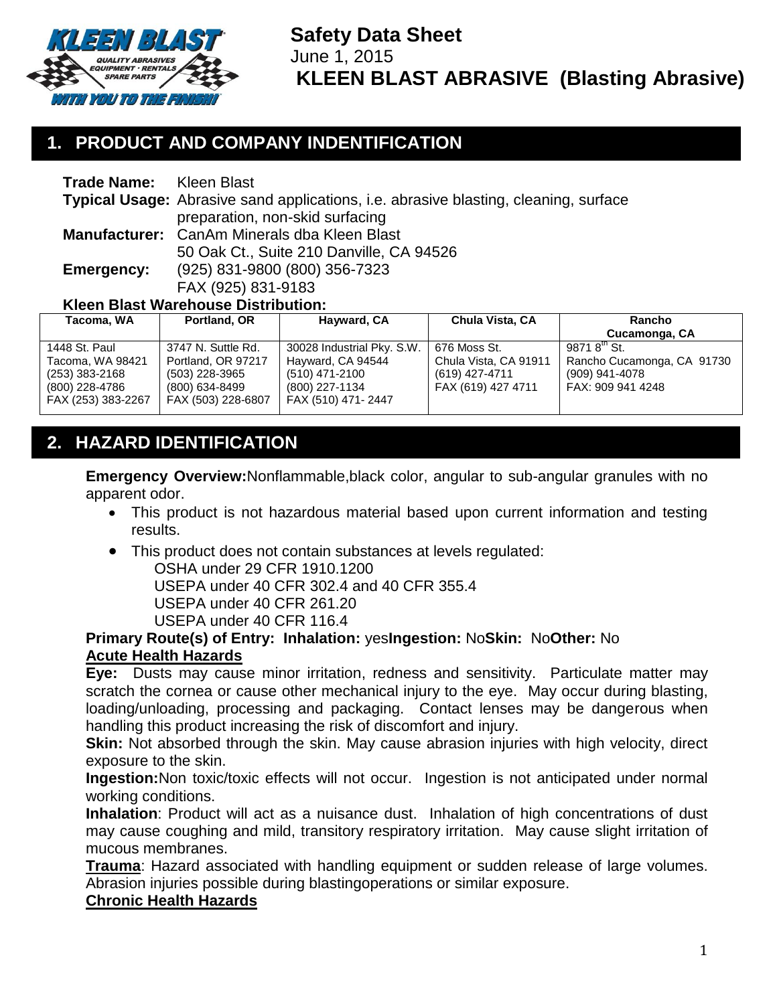

**Safety Data Sheet** June 1, 2015 **KLEEN BLAST ABRASIVE (Blasting Abrasive)**

# **1. PRODUCT AND COMPANY INDENTIFICATION**

| <b>Trade Name:</b>                         | Kleen Blast                                                                                 |                                          |                 |        |
|--------------------------------------------|---------------------------------------------------------------------------------------------|------------------------------------------|-----------------|--------|
|                                            | <b>Typical Usage:</b> Abrasive sand applications, i.e. abrasive blasting, cleaning, surface |                                          |                 |        |
|                                            |                                                                                             | preparation, non-skid surfacing          |                 |        |
|                                            | Manufacturer: CanAm Minerals dba Kleen Blast                                                |                                          |                 |        |
|                                            |                                                                                             | 50 Oak Ct., Suite 210 Danville, CA 94526 |                 |        |
| Emergency:                                 | (925) 831-9800 (800) 356-7323                                                               |                                          |                 |        |
|                                            | FAX (925) 831-9183                                                                          |                                          |                 |        |
| <b>Kleen Blast Warehouse Distribution:</b> |                                                                                             |                                          |                 |        |
| Tacoma, WA                                 | Portland, OR                                                                                | Hayward, CA                              | Chula Vista, CA | Rancho |

| Tacoma, WA         | Portland, OR       | <b>Hayward, CA</b>         | Chula Vista, CA       | Rancho                     |
|--------------------|--------------------|----------------------------|-----------------------|----------------------------|
|                    |                    |                            |                       | Cucamonga, CA              |
| 1448 St. Paul      | 3747 N. Suttle Rd. | 30028 Industrial Pky. S.W. | 676 Moss St.          | 9871 $8^{\text{th}}$ St.   |
| Tacoma, WA 98421   | Portland, OR 97217 | Hayward, CA 94544          | Chula Vista, CA 91911 | Rancho Cucamonga, CA 91730 |
| (253) 383-2168     | (503) 228-3965     | (510) 471-2100             | (619) 427-4711        | (909) 941-4078             |
| (800) 228-4786     | (800) 634-8499     | (800) 227-1134             | FAX (619) 427 4711    | FAX: 909 941 4248          |
| FAX (253) 383-2267 | FAX (503) 228-6807 | FAX (510) 471-2447         |                       |                            |
|                    |                    |                            |                       |                            |

# **2. HAZARD IDENTIFICATION**

**Emergency Overview:**Nonflammable,black color, angular to sub-angular granules with no apparent odor.

- This product is not hazardous material based upon current information and testing results.
- This product does not contain substances at levels regulated:

OSHA under 29 CFR 1910.1200

USEPA under 40 CFR 302.4 and 40 CFR 355.4

USEPA under 40 CFR 261.20

USEPA under 40 CFR 116.4

#### **Primary Route(s) of Entry: Inhalation:** yes**Ingestion:** No**Skin:** No**Other:** No **Acute Health Hazards**

**Eye:** Dusts may cause minor irritation, redness and sensitivity. Particulate matter may scratch the cornea or cause other mechanical injury to the eye. May occur during blasting, loading/unloading, processing and packaging. Contact lenses may be dangerous when handling this product increasing the risk of discomfort and injury.

**Skin:** Not absorbed through the skin. May cause abrasion injuries with high velocity, direct exposure to the skin.

**Ingestion:**Non toxic/toxic effects will not occur. Ingestion is not anticipated under normal working conditions.

**Inhalation**: Product will act as a nuisance dust. Inhalation of high concentrations of dust may cause coughing and mild, transitory respiratory irritation. May cause slight irritation of mucous membranes.

**Trauma**: Hazard associated with handling equipment or sudden release of large volumes. Abrasion injuries possible during blastingoperations or similar exposure.

#### **Chronic Health Hazards**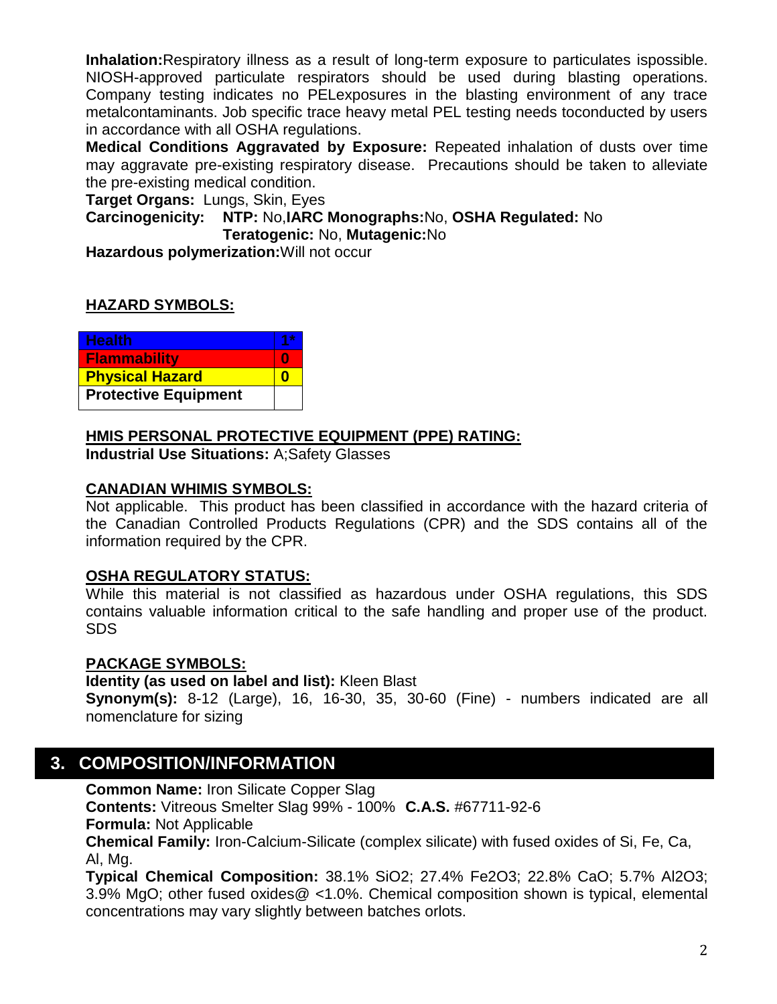**Inhalation:**Respiratory illness as a result of long-term exposure to particulates ispossible. NIOSH-approved particulate respirators should be used during blasting operations. Company testing indicates no PELexposures in the blasting environment of any trace metalcontaminants. Job specific trace heavy metal PEL testing needs toconducted by users in accordance with all OSHA regulations.

**Medical Conditions Aggravated by Exposure:** Repeated inhalation of dusts over time may aggravate pre-existing respiratory disease. Precautions should be taken to alleviate the pre-existing medical condition.

**Target Organs:** Lungs, Skin, Eyes

**Carcinogenicity: NTP:** No,**IARC Monographs:**No, **OSHA Regulated:** No **Teratogenic:** No, **Mutagenic:**No

**Hazardous polymerization:**Will not occur

### **HAZARD SYMBOLS:**

| <b>Health</b>               |  |
|-----------------------------|--|
| <b>Flammability</b>         |  |
| <b>Physical Hazard</b>      |  |
| <b>Protective Equipment</b> |  |

### **HMIS PERSONAL PROTECTIVE EQUIPMENT (PPE) RATING:**

**Industrial Use Situations:** A;Safety Glasses

#### **CANADIAN WHIMIS SYMBOLS:**

Not applicable. This product has been classified in accordance with the hazard criteria of the Canadian Controlled Products Regulations (CPR) and the SDS contains all of the information required by the CPR.

#### **OSHA REGULATORY STATUS:**

While this material is not classified as hazardous under OSHA regulations, this SDS contains valuable information critical to the safe handling and proper use of the product. SDS

### **PACKAGE SYMBOLS:**

**Identity (as used on label and list):** Kleen Blast

**Synonym(s):** 8-12 (Large), 16, 16-30, 35, 30-60 (Fine) - numbers indicated are all nomenclature for sizing

## **3. COMPOSITION/INFORMATION**

**Common Name:** Iron Silicate Copper Slag

**Contents:** Vitreous Smelter Slag 99% - 100% **C.A.S.** #67711-92-6

**Formula:** Not Applicable

**Chemical Family:** Iron-Calcium-Silicate (complex silicate) with fused oxides of Si, Fe, Ca, Al, Mg.

**Typical Chemical Composition:** 38.1% SiO2; 27.4% Fe2O3; 22.8% CaO; 5.7% Al2O3; 3.9% MgO; other fused oxides@ <1.0%. Chemical composition shown is typical, elemental concentrations may vary slightly between batches orlots.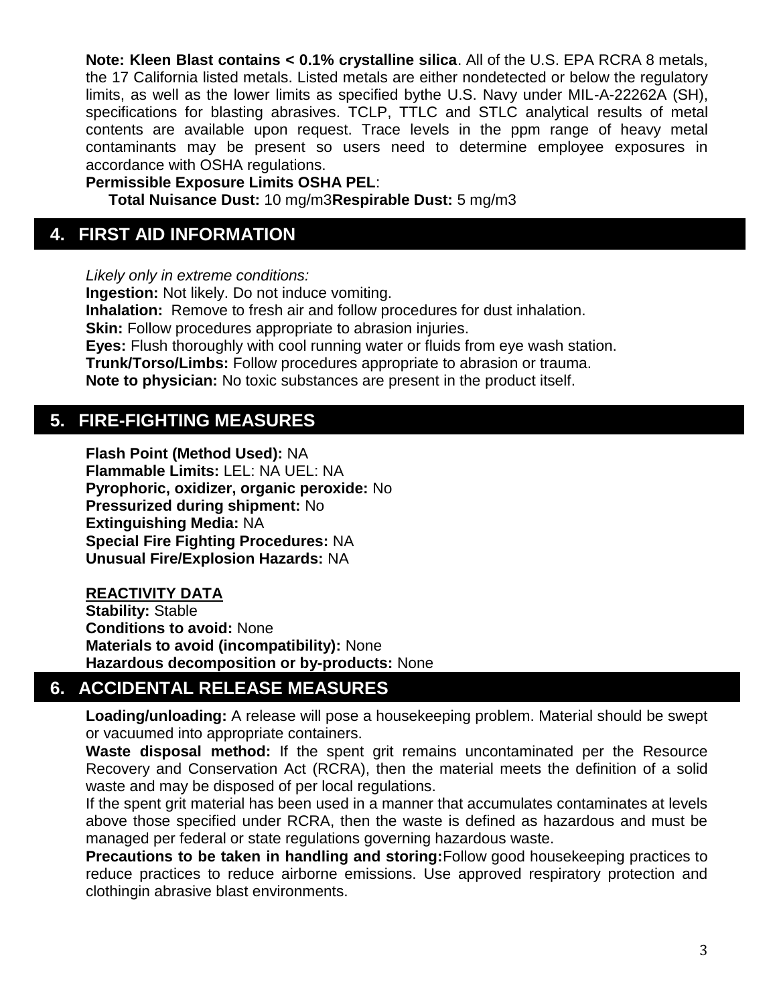**Note: Kleen Blast contains < 0.1% crystalline silica**. All of the U.S. EPA RCRA 8 metals, the 17 California listed metals. Listed metals are either nondetected or below the regulatory limits, as well as the lower limits as specified bythe U.S. Navy under MIL-A-22262A (SH), specifications for blasting abrasives. TCLP, TTLC and STLC analytical results of metal contents are available upon request. Trace levels in the ppm range of heavy metal contaminants may be present so users need to determine employee exposures in accordance with OSHA regulations.

**Permissible Exposure Limits OSHA PEL**:

**Total Nuisance Dust:** 10 mg/m3**Respirable Dust:** 5 mg/m3

## **4. FIRST AID INFORMATION**

*Likely only in extreme conditions:* **Ingestion:** Not likely. Do not induce vomiting. **Inhalation:** Remove to fresh air and follow procedures for dust inhalation. **Skin:** Follow procedures appropriate to abrasion injuries. **Eyes:** Flush thoroughly with cool running water or fluids from eye wash station. **Trunk/Torso/Limbs:** Follow procedures appropriate to abrasion or trauma. **Note to physician:** No toxic substances are present in the product itself.

# **5. FIRE-FIGHTING MEASURES**

**Flash Point (Method Used):** NA **Flammable Limits:** LEL: NA UEL: NA **Pyrophoric, oxidizer, organic peroxide:** No **Pressurized during shipment:** No **Extinguishing Media:** NA **Special Fire Fighting Procedures:** NA **Unusual Fire/Explosion Hazards:** NA

### **REACTIVITY DATA**

**Stability:** Stable **Conditions to avoid:** None **Materials to avoid (incompatibility):** None **Hazardous decomposition or by-products:** None

# **6. ACCIDENTAL RELEASE MEASURES**

**Loading/unloading:** A release will pose a housekeeping problem. Material should be swept or vacuumed into appropriate containers.

Waste disposal method: If the spent grit remains uncontaminated per the Resource Recovery and Conservation Act (RCRA), then the material meets the definition of a solid waste and may be disposed of per local regulations.

If the spent grit material has been used in a manner that accumulates contaminates at levels above those specified under RCRA, then the waste is defined as hazardous and must be managed per federal or state regulations governing hazardous waste.

**Precautions to be taken in handling and storing:**Follow good housekeeping practices to reduce practices to reduce airborne emissions. Use approved respiratory protection and clothingin abrasive blast environments.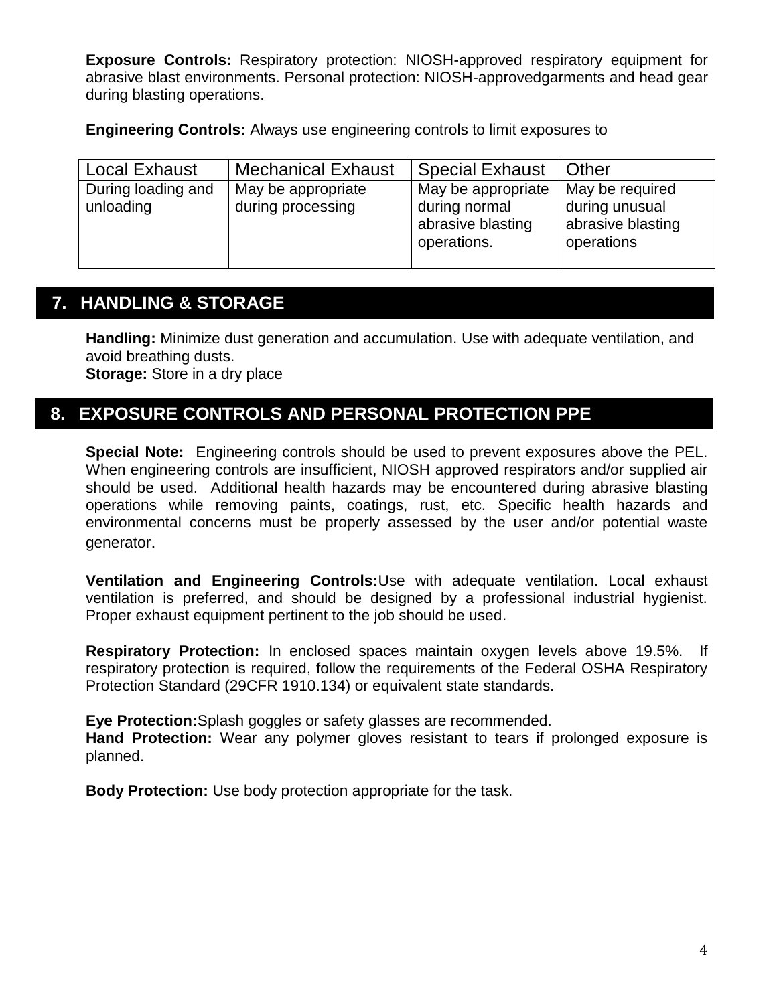**Exposure Controls:** Respiratory protection: NIOSH-approved respiratory equipment for abrasive blast environments. Personal protection: NIOSH-approvedgarments and head gear during blasting operations.

**Engineering Controls:** Always use engineering controls to limit exposures to

| <b>Local Exhaust</b>            | <b>Mechanical Exhaust</b>               | <b>Special Exhaust</b>                                                  | Other                                                                |
|---------------------------------|-----------------------------------------|-------------------------------------------------------------------------|----------------------------------------------------------------------|
| During loading and<br>unloading | May be appropriate<br>during processing | May be appropriate<br>during normal<br>abrasive blasting<br>operations. | May be required<br>during unusual<br>abrasive blasting<br>operations |
|                                 |                                         |                                                                         |                                                                      |

## **7. HANDLING & STORAGE**

**Handling:** Minimize dust generation and accumulation. Use with adequate ventilation, and avoid breathing dusts. **Storage:** Store in a dry place

## **8. EXPOSURE CONTROLS AND PERSONAL PROTECTION PPE**

**Special Note:** Engineering controls should be used to prevent exposures above the PEL. When engineering controls are insufficient, NIOSH approved respirators and/or supplied air should be used. Additional health hazards may be encountered during abrasive blasting operations while removing paints, coatings, rust, etc. Specific health hazards and environmental concerns must be properly assessed by the user and/or potential waste generator.

**Ventilation and Engineering Controls:**Use with adequate ventilation. Local exhaust ventilation is preferred, and should be designed by a professional industrial hygienist. Proper exhaust equipment pertinent to the job should be used.

**Respiratory Protection:** In enclosed spaces maintain oxygen levels above 19.5%. If respiratory protection is required, follow the requirements of the Federal OSHA Respiratory Protection Standard (29CFR 1910.134) or equivalent state standards.

**Eye Protection:**Splash goggles or safety glasses are recommended.

**Hand Protection:** Wear any polymer gloves resistant to tears if prolonged exposure is planned.

**Body Protection:** Use body protection appropriate for the task.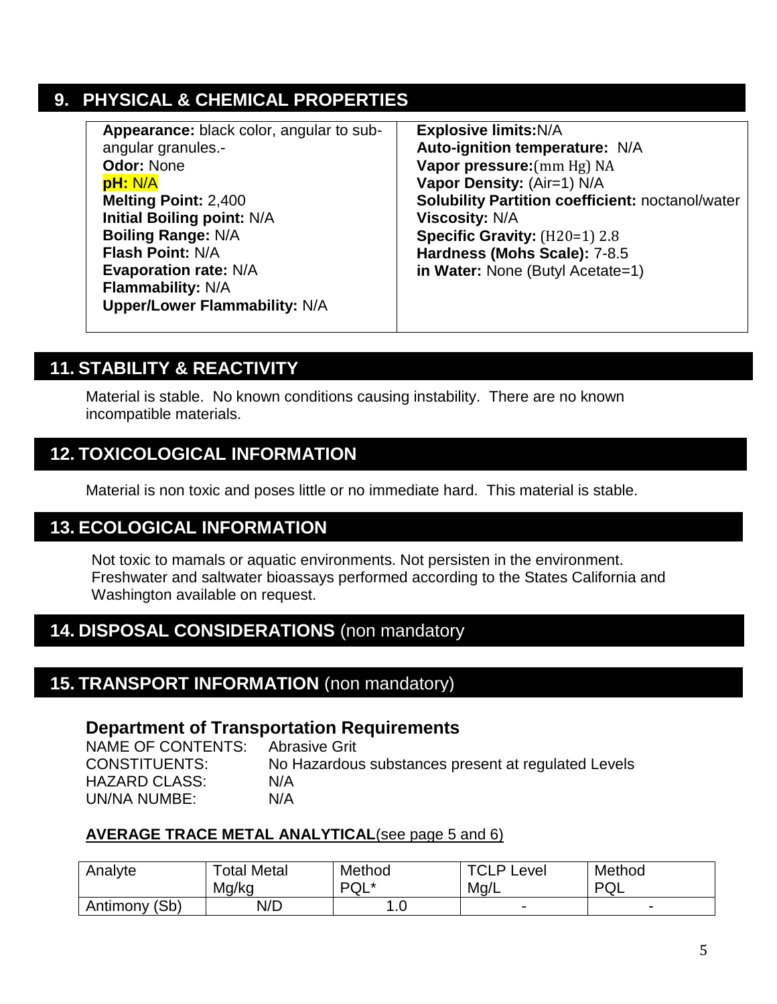# **9. PHYSICAL & CHEMICAL PROPERTIES**

| Appearance: black color, angular to sub- | <b>Explosive limits: N/A</b>                            |
|------------------------------------------|---------------------------------------------------------|
| angular granules.-                       | Auto-ignition temperature: N/A                          |
| <b>Odor: None</b>                        | Vapor pressure: (mm Hg) NA                              |
| pH: N/A                                  | Vapor Density: (Air=1) N/A                              |
| <b>Melting Point: 2,400</b>              | <b>Solubility Partition coefficient: noctanol/water</b> |
| <b>Initial Boiling point: N/A</b>        | <b>Viscosity: N/A</b>                                   |
| <b>Boiling Range: N/A</b>                | Specific Gravity: (H20=1) 2.8                           |
| <b>Flash Point: N/A</b>                  | Hardness (Mohs Scale): 7-8.5                            |
| <b>Evaporation rate: N/A</b>             | in Water: None (Butyl Acetate=1)                        |
| Flammability: N/A                        |                                                         |
| <b>Upper/Lower Flammability: N/A</b>     |                                                         |
|                                          |                                                         |

# **11. STABILITY & REACTIVITY**

Material is stable. No known conditions causing instability. There are no known incompatible materials.

## **12. TOXICOLOGICAL INFORMATION**

Material is non toxic and poses little or no immediate hard. This material is stable.

## **13. ECOLOGICAL INFORMATION**

Not toxic to mamals or aquatic environments. Not persisten in the environment. Freshwater and saltwater bioassays performed according to the States California and Washington available on request.

## **14. DISPOSAL CONSIDERATIONS** (non mandatory

## **15. TRANSPORT INFORMATION** (non mandatory)

### **Department of Transportation Requirements**

NAME OF CONTENTS: Abrasive Grit CONSTITUENTS: No Hazardous substances present at regulated Levels HAZARD CLASS: N/A UN/NA NUMBE: N/A

### **AVERAGE TRACE METAL ANALYTICAL**(see page 5 and 6)

| Analyte          | Total Metal<br>Mg/kg | Method<br>∗ ו∩ם<br>ົ⊍∟ | <b>TCLPI</b><br>∟evel<br>Mq/L | Method<br>D∩<br>◡        |
|------------------|----------------------|------------------------|-------------------------------|--------------------------|
| (Sb)<br>Antimony | N/D                  | . . v                  | -                             | $\overline{\phantom{0}}$ |